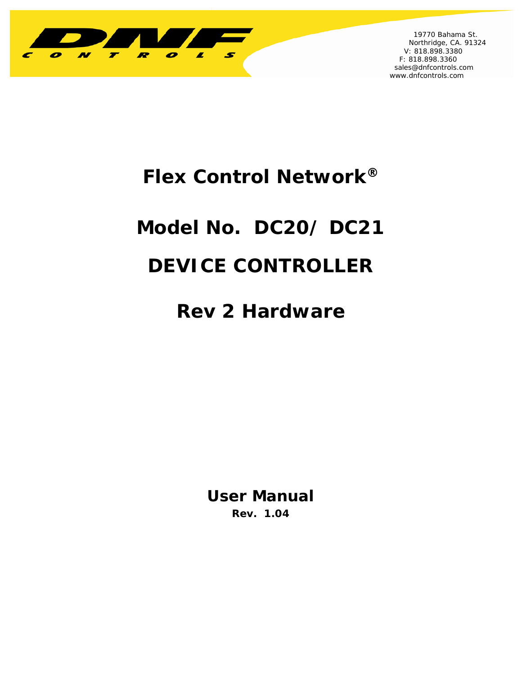

 19770 Bahama St. Northridge, CA. 91324 V: 818.898.3380 F: 818.898.3360 sales@dnfcontrols.com www.dnfcontrols.com

j

## **Flex Control Network®**

# **Model No. DC20/ DC21**

## **DEVICE CONTROLLER**

## **Rev 2 Hardware**

**User Manual Rev. 1.04**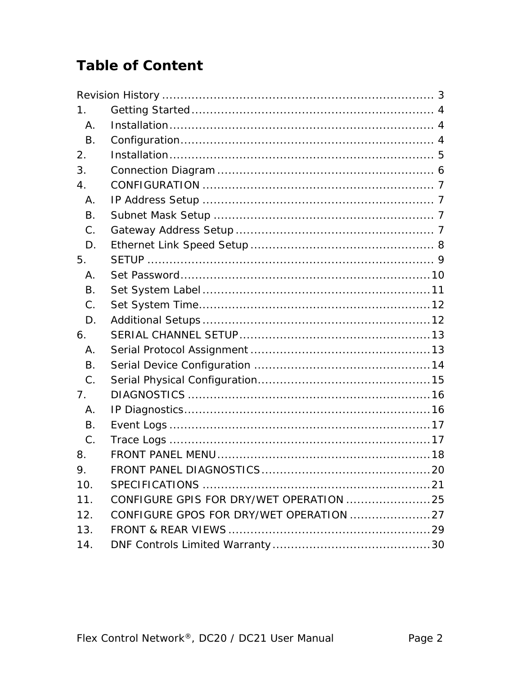### **Table of Content**

| 1.        |                                         |  |
|-----------|-----------------------------------------|--|
| Α.        |                                         |  |
| <b>B.</b> |                                         |  |
| 2.        |                                         |  |
| 3.        |                                         |  |
| 4.        |                                         |  |
| Α.        |                                         |  |
| <b>B.</b> |                                         |  |
| C.        |                                         |  |
| D.        |                                         |  |
| 5.        |                                         |  |
| Α.        |                                         |  |
| Β.        |                                         |  |
| C.        |                                         |  |
| D.        |                                         |  |
| 6.        |                                         |  |
| Α.        |                                         |  |
| Β.        |                                         |  |
| C.        |                                         |  |
| 7.        |                                         |  |
| Α.        |                                         |  |
| Β.        |                                         |  |
| C.        |                                         |  |
| 8.        |                                         |  |
| 9.        |                                         |  |
| 10.       |                                         |  |
| 11.       | CONFIGURE GPIS FOR DRY/WET OPERATION 25 |  |
| 12.       |                                         |  |
| 13.       |                                         |  |
| 14.       |                                         |  |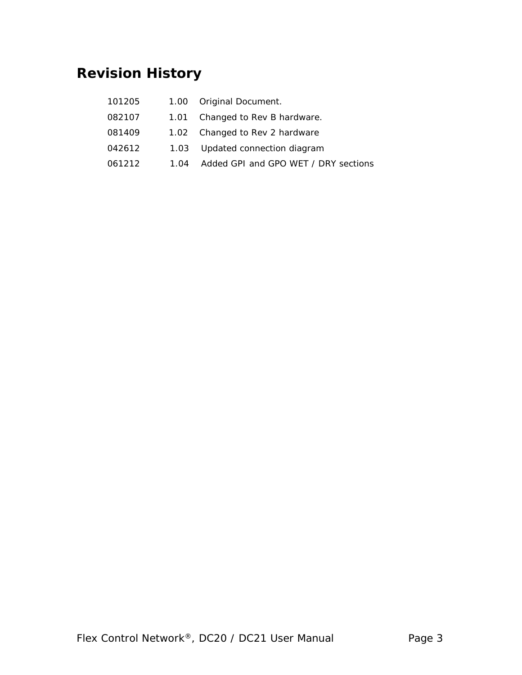## **Revision History**

| 101205 |      | 1.00 Original Document.              |
|--------|------|--------------------------------------|
| 082107 | 1.01 | Changed to Rev B hardware.           |
| 081409 |      | 1.02 Changed to Rev 2 hardware       |
| 042612 |      | 1.03 Updated connection diagram      |
| 061212 | 1.04 | Added GPI and GPO WET / DRY sections |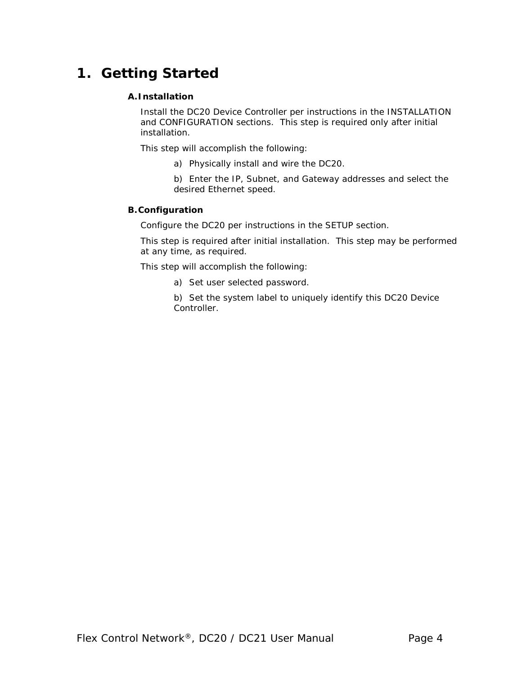### **1. Getting Started**

### **A.Installation**

Install the DC20 Device Controller per instructions in the INSTALLATION and CONFIGURATION sections. This step is required only after initial installation.

This step will accomplish the following:

- a) Physically install and wire the DC20.
- b) Enter the IP, Subnet, and Gateway addresses and select the desired Ethernet speed.

#### **B.Configuration**

Configure the DC20 per instructions in the SETUP section.

This step is required after initial installation. This step may be performed at any time, as required.

This step will accomplish the following:

- a) Set user selected password.
- b) Set the system label to uniquely identify this DC20 Device Controller.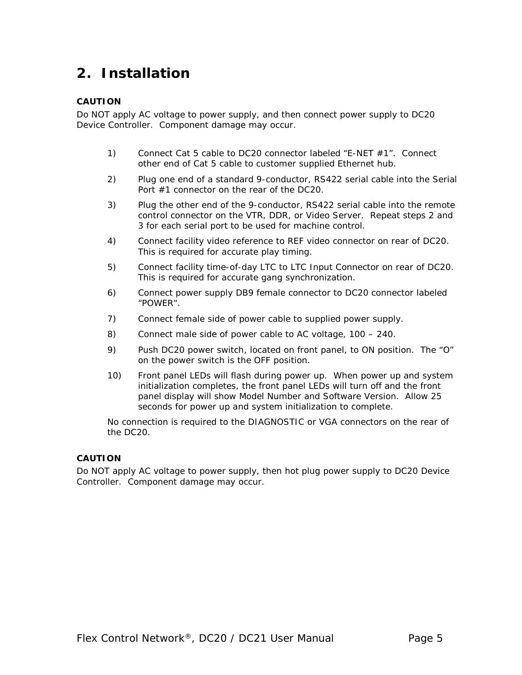### **2. Installation**

#### **CAUTION**

Do NOT apply AC voltage to power supply, and then connect power supply to DC20 Device Controller. Component damage may occur.

- 1) Connect Cat 5 cable to DC20 connector labeled "E-NET #1". Connect other end of Cat 5 cable to customer supplied Ethernet hub.
- 2) Plug one end of a standard 9-conductor, RS422 serial cable into the Serial Port #1 connector on the rear of the DC20.
- 3) Plug the other end of the 9-conductor, RS422 serial cable into the remote control connector on the VTR, DDR, or Video Server. Repeat steps 2 and 3 for each serial port to be used for machine control.
- 4) Connect facility video reference to REF video connector on rear of DC20. This is required for accurate play timing.
- 5) Connect facility time-of-day LTC to LTC Input Connector on rear of DC20. This is required for accurate gang synchronization.
- 6) Connect power supply DB9 female connector to DC20 connector labeled "POWER".
- 7) Connect female side of power cable to supplied power supply.
- 8) Connect male side of power cable to AC voltage, 100 240.
- 9) Push DC20 power switch, located on front panel, to ON position. The "O" on the power switch is the OFF position.
- 10) Front panel LEDs will flash during power up. When power up and system initialization completes, the front panel LEDs will turn off and the front panel display will show Model Number and Software Version. Allow 25 seconds for power up and system initialization to complete.

No connection is required to the DIAGNOSTIC or VGA connectors on the rear of the DC20.

#### **CAUTION**

Do NOT apply AC voltage to power supply, then hot plug power supply to DC20 Device Controller. Component damage may occur.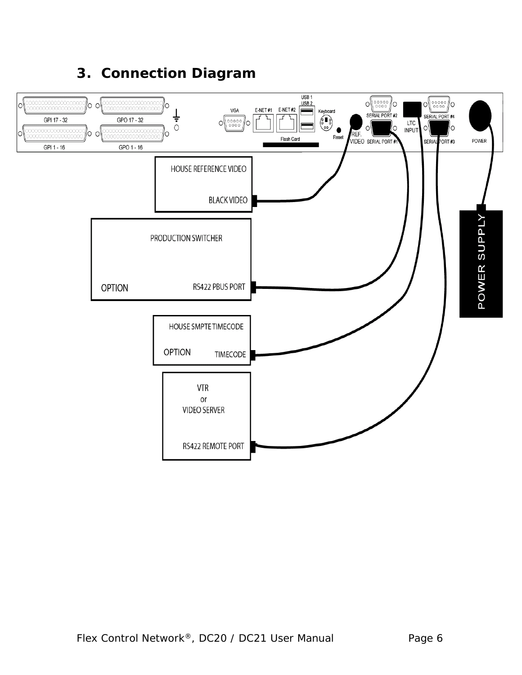### **3. Connection Diagram**

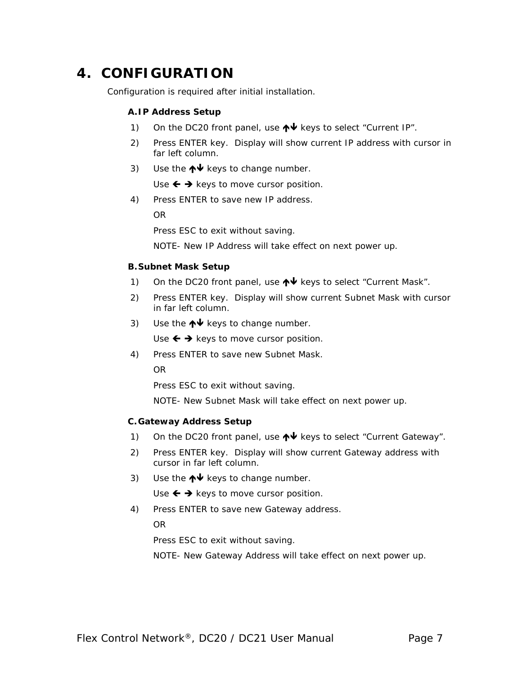### **4. CONFIGURATION**

Configuration is required after initial installation.

### **A.IP Address Setup**

- 1) On the DC20 front panel, use  $\bigwedge^{\mathbf{\downarrow}}$  keys to select "Current IP".
- 2) Press ENTER key. Display will show current IP address with cursor in far left column.
- 3) Use the  $\bigwedge^{\mathbf{\downarrow}}$  keys to change number.

Use  $\leftarrow \rightarrow$  keys to move cursor position.

4) Press ENTER to save new IP address.

OR

Press ESC to exit without saving.

NOTE- New IP Address will take effect on next power up.

### **B.Subnet Mask Setup**

- 1) On the DC20 front panel, use  $\bigwedge^{\mathbf{\downarrow}}$  keys to select "Current Mask".
- 2) Press ENTER key. Display will show current Subnet Mask with cursor in far left column.
- 3) Use the  $\bigwedge^{\mathbf{\downarrow}}$  keys to change number.

Use  $\leftarrow \rightarrow$  keys to move cursor position.

4) Press ENTER to save new Subnet Mask.

OR

Press ESC to exit without saving.

NOTE- New Subnet Mask will take effect on next power up.

### **C.Gateway Address Setup**

- 1) On the DC20 front panel, use  $\bigwedge^{\mathbf{\downarrow}}$  keys to select "Current Gateway".
- 2) Press ENTER key. Display will show current Gateway address with cursor in far left column.
- 3) Use the  $\bigwedge^{\mathbf{\downarrow}}$  keys to change number.

Use  $\leftarrow \rightarrow$  keys to move cursor position.

4) Press ENTER to save new Gateway address.

OR

Press ESC to exit without saving.

NOTE- New Gateway Address will take effect on next power up.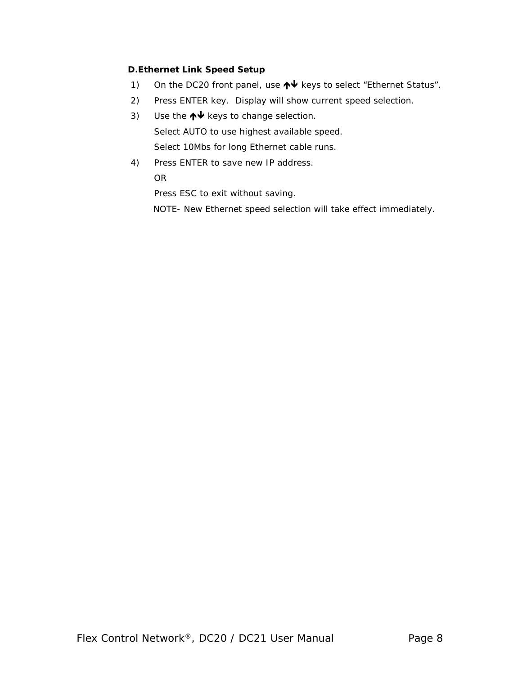### **D.Ethernet Link Speed Setup**

- 1) On the DC20 front panel, use  $\bigwedge^{\mathbf{\downarrow}}$  keys to select "Ethernet Status".
- 2) Press ENTER key. Display will show current speed selection.
- 3) Use the  $\bigwedge^{\mathord{\text{\rm \#}}}\mathord{\text{\rm key}}$  to change selection. Select AUTO to use highest available speed. Select 10Mbs for long Ethernet cable runs.
- 4) Press ENTER to save new IP address. OR

Press ESC to exit without saving.

NOTE- New Ethernet speed selection will take effect immediately.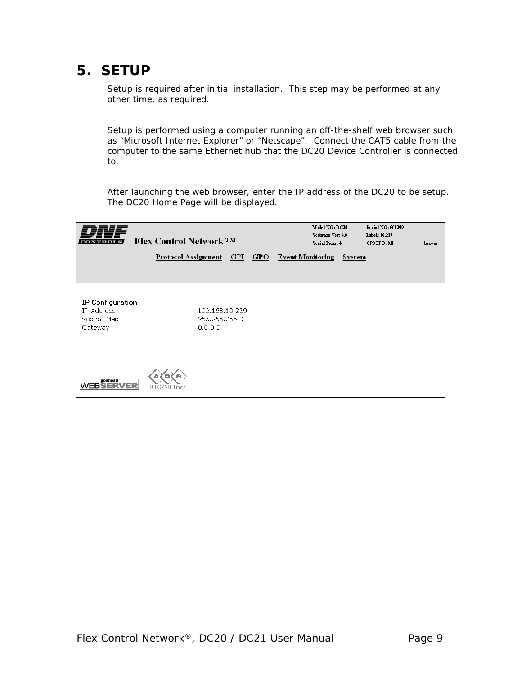### **5. SETUP**

Setup is required after initial installation. This step may be performed at any other time, as required.

Setup is performed using a computer running an off-the-shelf web browser such as "Microsoft Internet Explorer" or "Netscape". Connect the CAT5 cable from the computer to the same Ethernet hub that the DC20 Device Controller is connected to.

After launching the web browser, enter the IP address of the DC20 to be setup. The DC20 Home Page will be displayed.

| NTROI                                                    | <b>Flex Control Network ™</b> |                                            | Model NO: DC20<br>Software Ver: 4.0<br><b>Serial Ports: 4</b><br>Protocol Assignment GPI GPO Event Monitoring | System | Serial NO: 500299<br>Label: 10.239<br>GPI/GPO: 8/8 | Logout |
|----------------------------------------------------------|-------------------------------|--------------------------------------------|---------------------------------------------------------------------------------------------------------------|--------|----------------------------------------------------|--------|
| IP Configuration<br>IP Address<br>Subnet Mask<br>Gateway |                               | 192.168.10.239<br>255.255.255.0<br>0.0.0.0 |                                                                                                               |        |                                                    |        |
| goahead<br><b>WEBSERVER</b>                              | s<br>RTC/MLTnet               |                                            |                                                                                                               |        |                                                    |        |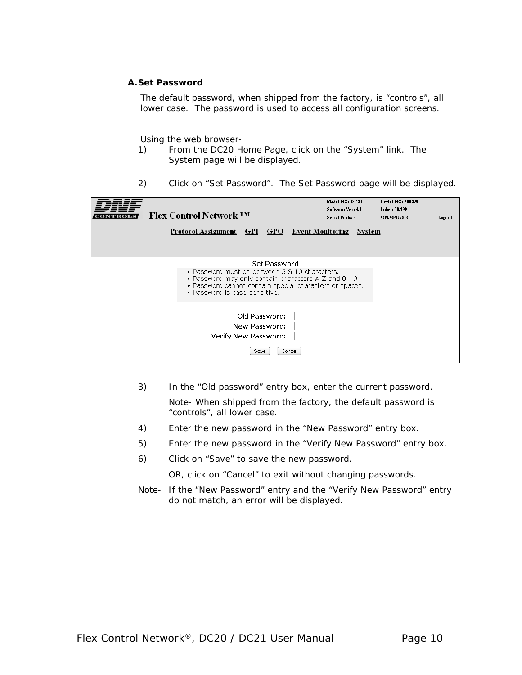#### **A.Set Password**

The default password, when shipped from the factory, is "controls", all lower case. The password is used to access all configuration screens.

#### Using the web browser-

- 1) From the DC20 Home Page, click on the "System" link. The System page will be displayed.
- 2) Click on "Set Password". The Set Password page will be displayed.

| <b>Flex Control Network TM</b><br>Protocol Assignment GPI GPO Event Monitoring                                                                                                                                     | Model NO: DC20<br>Software Ver: 4.0<br><b>Serial Ports: 4</b><br>System | Serial NO: 500299<br>Label: 10.239<br>GPUGPO: 8/8<br>Logout |
|--------------------------------------------------------------------------------------------------------------------------------------------------------------------------------------------------------------------|-------------------------------------------------------------------------|-------------------------------------------------------------|
| Set Password<br>• Password must be between 5 & 10 characters.<br>• Password may only contain characters A-Z and 0 - 9.<br>• Password cannot contain special characters or spaces.<br>• Password is case-sensitive. |                                                                         |                                                             |
| Old Password:<br>New Password:<br>Verify New Password:<br>Cancel<br>Save                                                                                                                                           |                                                                         |                                                             |

3) In the "Old password" entry box, enter the current password.

Note- When shipped from the factory, the default password is "controls", all lower case.

- 4) Enter the new password in the "New Password" entry box.
- 5) Enter the new password in the "Verify New Password" entry box.
- 6) Click on "Save" to save the new password.

OR, click on "Cancel" to exit without changing passwords.

Note- If the "New Password" entry and the "Verify New Password" entry do not match, an error will be displayed.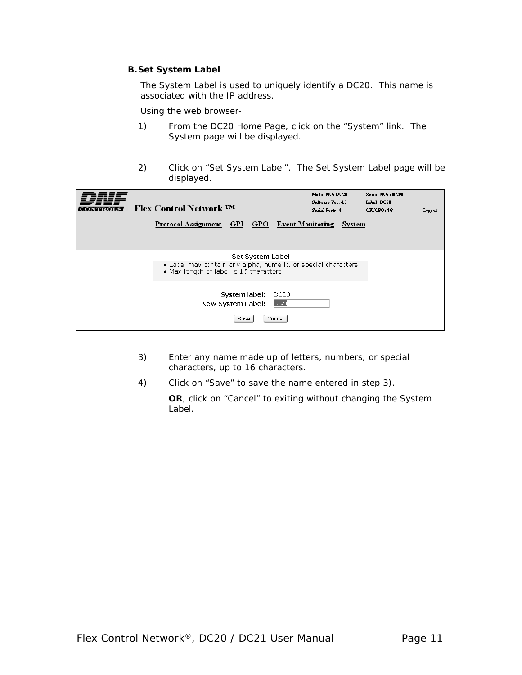### **B.Set System Label**

The System Label is used to uniquely identify a DC20. This name is associated with the IP address.

Using the web browser-

- 1) From the DC20 Home Page, click on the "System" link. The System page will be displayed.
- 2) Click on "Set System Label". The Set System Label page will be displayed.

| VTROI | <b>Flex Control Network TM</b><br>Protocol Assignment GPI GPO Event Monitoring                                                | Model NO: DC20<br>Software Ver: 4.0<br><b>Serial Ports: 4</b><br>System | Serial NO: 500299<br>Label: DC20<br>GPLGPO: 8/8<br>Logout |
|-------|-------------------------------------------------------------------------------------------------------------------------------|-------------------------------------------------------------------------|-----------------------------------------------------------|
|       | Set System Label<br>• Label may contain any alpha, numeric, or special characters.<br>• Max length of label is 16 characters. |                                                                         |                                                           |
|       | System label:<br>DC <sub>20</sub><br>DC20<br>New System Label:<br>Cancel<br>Save                                              |                                                                         |                                                           |

- 3) Enter any name made up of letters, numbers, or special characters, up to 16 characters.
- 4) Click on "Save" to save the name entered in step 3).

**OR**, click on "Cancel" to exiting without changing the System Label.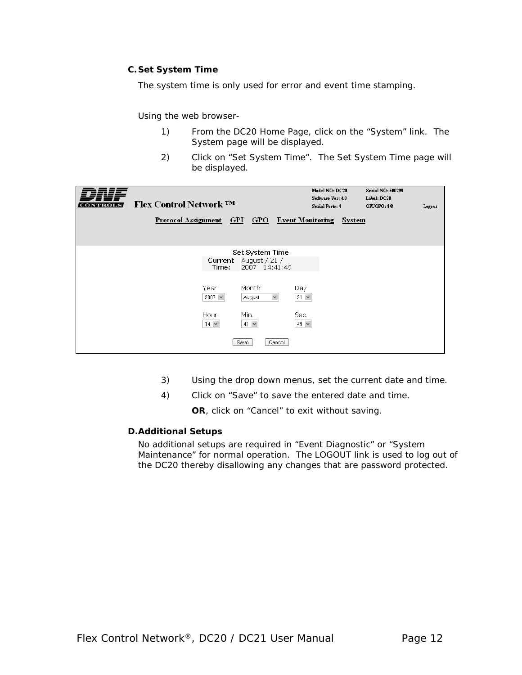### **C.Set System Time**

The system time is only used for error and event time stamping.

Using the web browser-

- 1) From the DC20 Home Page, click on the "System" link. The System page will be displayed.
- 2) Click on "Set System Time". The Set System Time page will be displayed.

| VTROI | <b>Flex Control Network ™</b><br><b>Protocol Assignment</b> |                                                              | <u>GPIGPO</u>                                                                                                                 | Model NO: DC20<br>Software Ver: 4.0<br>Serial Ports: 4<br><b>Event Monitoring</b> | System | Serial NO: 500299<br>Label: DC20<br>GPI/GPO: 8/8 | Logout |
|-------|-------------------------------------------------------------|--------------------------------------------------------------|-------------------------------------------------------------------------------------------------------------------------------|-----------------------------------------------------------------------------------|--------|--------------------------------------------------|--------|
|       |                                                             | Current<br>Time:<br>Year<br>2007 $\vee$<br>Hour<br>$14 \vee$ | Set System Time<br>August / 21 /<br>2007 14:41:49<br>Month<br>$\checkmark$<br>August<br>Min.<br>$41 \times$<br>Save<br>Cancel | Day<br>$21 \times$<br>Sec.<br>49 $\vee$                                           |        |                                                  |        |

- 3) Using the drop down menus, set the current date and time.
- 4) Click on "Save" to save the entered date and time.

**OR**, click on "Cancel" to exit without saving.

#### **D.Additional Setups**

No additional setups are required in "Event Diagnostic" or "System Maintenance" for normal operation. The LOGOUT link is used to log out of the DC20 thereby disallowing any changes that are password protected.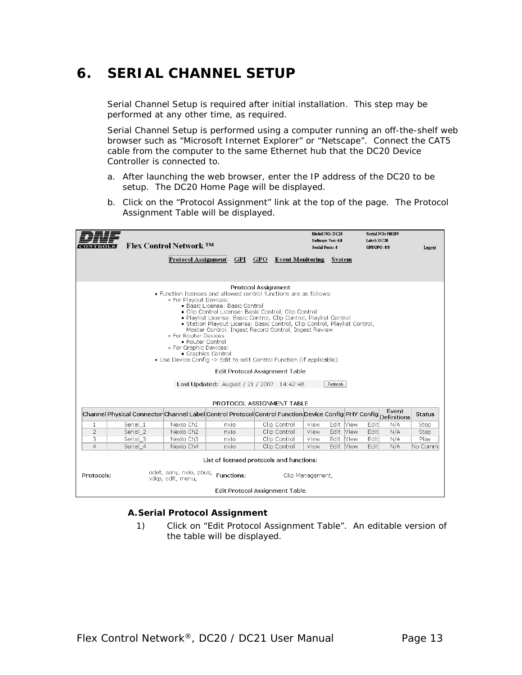### **6. SERIAL CHANNEL SETUP**

Serial Channel Setup is required after initial installation. This step may be performed at any other time, as required.

Serial Channel Setup is performed using a computer running an off-the-shelf web browser such as "Microsoft Internet Explorer" or "Netscape". Connect the CAT5 cable from the computer to the same Ethernet hub that the DC20 Device Controller is connected to.

- a. After launching the web browser, enter the IP address of the DC20 to be setup. The DC20 Home Page will be displayed.
- b. Click on the "Protocol Assignment" link at the top of the page. The Protocol Assignment Table will be displayed.

|                                |                                                                                                                                                                                                                                                                                                                                                                                                                                                                                                                                                                                                                                                                                           | <b>Flex Control Network TM</b>                                                                                  |              |  |  |                                       | Model NO: DC20<br>Software Ver: 4.0<br>Serial Ports: 4 |                        | <b>Serial NO: 500299</b><br>Label: DC20<br>GPUGPO: 8/8 |            | Legeut        |
|--------------------------------|-------------------------------------------------------------------------------------------------------------------------------------------------------------------------------------------------------------------------------------------------------------------------------------------------------------------------------------------------------------------------------------------------------------------------------------------------------------------------------------------------------------------------------------------------------------------------------------------------------------------------------------------------------------------------------------------|-----------------------------------------------------------------------------------------------------------------|--------------|--|--|---------------------------------------|--------------------------------------------------------|------------------------|--------------------------------------------------------|------------|---------------|
|                                | <b>Protocol Assignment</b><br><b>GPI</b><br><b>GPO</b> Event Monitoring                                                                                                                                                                                                                                                                                                                                                                                                                                                                                                                                                                                                                   |                                                                                                                 |              |  |  |                                       |                                                        | System                 |                                                        |            |               |
|                                |                                                                                                                                                                                                                                                                                                                                                                                                                                                                                                                                                                                                                                                                                           |                                                                                                                 |              |  |  |                                       |                                                        |                        |                                                        |            |               |
|                                | <b>Protocol Assignment</b><br>• Function licenses and allowed control functions are as follows:<br>. For Playout Devices:<br>■ Basic License: Basic Control<br>Clip Control License: Basic Control, Clip Control<br>Playlist License: Basic Control, Clip Control, Playlist Control<br>Station Playout License: Basic Control, Clip Control, Playlist Control,<br>Master Control, Ingest Record Control, Ingest Review<br>. For Router Devices:<br>Router Control<br>⊙ For Graphic Devices:<br>Graphics Control<br>• Use Device Confia -> Edit to edit Control Function (if applicable).<br><b>Edit Protocol Assignment Table</b><br>Last Updated: August / 21 / 2007 14:42:48<br>Refresh |                                                                                                                 |              |  |  |                                       |                                                        |                        |                                                        |            |               |
|                                |                                                                                                                                                                                                                                                                                                                                                                                                                                                                                                                                                                                                                                                                                           | Channel Physical Connector Channel Label Control Protocol Control Function Device Config PHY Config Definitions |              |  |  | PROTOCOL ASSIGNMENT TABLE             |                                                        |                        |                                                        |            | <b>Status</b> |
|                                |                                                                                                                                                                                                                                                                                                                                                                                                                                                                                                                                                                                                                                                                                           |                                                                                                                 |              |  |  |                                       |                                                        |                        |                                                        |            |               |
| $\mathbf{1}$<br>$\overline{2}$ | Serial 1<br>Serial 2                                                                                                                                                                                                                                                                                                                                                                                                                                                                                                                                                                                                                                                                      | Nexio Ch1<br>Nexio Ch <sub>2</sub>                                                                              | nxio<br>nxio |  |  | Clip Control<br>Clip Control          | View<br>View                                           | Edit View<br>Edit View | Edit<br>Edit                                           | N/A<br>N/A | Stop<br>Stop  |
| 3                              | Serial 3                                                                                                                                                                                                                                                                                                                                                                                                                                                                                                                                                                                                                                                                                  | Nexio Ch3                                                                                                       | nxio         |  |  | Clip Control                          | View                                                   | Edit View              | Edit                                                   | N/A        | Plav          |
| $\overline{a}$                 | Serial 4                                                                                                                                                                                                                                                                                                                                                                                                                                                                                                                                                                                                                                                                                  | Nexio Ch4                                                                                                       | nxio         |  |  | Clip Control                          | View                                                   | Edit View              | Edit                                                   | N/A        | No Comm       |
| Protocols:                     | List of licensed protocols and functions:<br>odet, sony, nxio, pbus,<br>Functions:<br>Clip Management.<br>vdcp. odlt. menu.                                                                                                                                                                                                                                                                                                                                                                                                                                                                                                                                                               |                                                                                                                 |              |  |  |                                       |                                                        |                        |                                                        |            |               |
|                                |                                                                                                                                                                                                                                                                                                                                                                                                                                                                                                                                                                                                                                                                                           |                                                                                                                 |              |  |  | <b>Edit Protocol Assignment Table</b> |                                                        |                        |                                                        |            |               |

#### **A.Serial Protocol Assignment**

1) Click on "Edit Protocol Assignment Table". An editable version of the table will be displayed.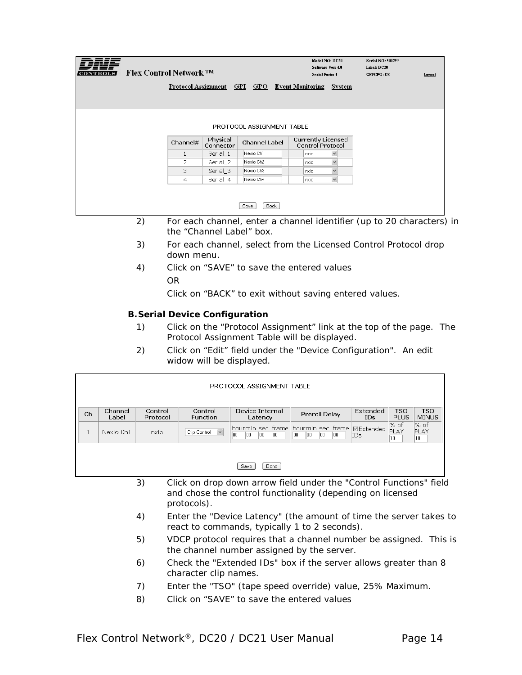| <b>CONTROLS</b> | <b>Flex Control Network ™</b> |              |                             |                           | Model NO: DC20<br>Software Ver: 4.0<br>Serial Ports: 4 |              | <b>Serial NO: 500299</b><br>Label: DC20<br>GPI/GPO: 8/8 | Logout |
|-----------------|-------------------------------|--------------|-----------------------------|---------------------------|--------------------------------------------------------|--------------|---------------------------------------------------------|--------|
|                 |                               |              | Protocol Assignment GPI GPO |                           | <b>Event Monitoring</b>                                | System       |                                                         |        |
|                 |                               |              |                             |                           |                                                        |              |                                                         |        |
|                 |                               |              |                             | PROTOCOL ASSIGNMENT TABLE |                                                        |              |                                                         |        |
|                 |                               | Channel#     | Physical<br>Connector       | Channel Label             | <b>Currently Licensed</b><br><b>Control Protocol</b>   |              |                                                         |        |
|                 |                               | $\mathbf{1}$ | Serial_1                    | Nexio Ch1                 | nxio                                                   | $\checkmark$ |                                                         |        |
|                 |                               | 2            | Serial_2                    | Nexio Ch2                 | nxio                                                   | $\checkmark$ |                                                         |        |
|                 |                               | 3            | Serial_3                    | Nexio Ch3                 | nxio                                                   | $\checkmark$ |                                                         |        |
|                 |                               | 4            | Serial_4                    | Nexio Ch4                 | nxio                                                   | $\checkmark$ |                                                         |        |
|                 |                               |              |                             | <b>Back</b><br>Save       |                                                        |              |                                                         |        |

- 2) For each channel, enter a channel identifier (up to 20 characters) in the "Channel Label" box.
- 3) For each channel, select from the Licensed Control Protocol drop down menu.
- 4) Click on "SAVE" to save the entered values OR

Click on "BACK" to exit without saving entered values.

### **B.Serial Device Configuration**

- 1) Click on the "Protocol Assignment" link at the top of the page. The Protocol Assignment Table will be displayed.
- 2) Click on "Edit" field under the "Device Configuration". An edit widow will be displayed.

|    | PROTOCOL ASSIGNMENT TABLE |                     |                              |                            |                                                                |                           |                                 |                     |
|----|---------------------------|---------------------|------------------------------|----------------------------|----------------------------------------------------------------|---------------------------|---------------------------------|---------------------|
| Ch | Channel<br>Label          | Control<br>Protocol | Control<br><b>Function</b>   | Device Internal<br>Latency | Preroll Delay                                                  | Extended<br><b>IDs</b>    | <b>TSO</b><br><b>PLUS</b>       | TSO<br><b>MINUS</b> |
|    | Nexio Ch1                 | nxio                | $\checkmark$<br>Clip Control | 00<br>100<br>100<br>100    | hourmin sec frame hourmin sec frame<br>00<br>loo<br>100<br>100 | <b>I</b> ⊡Extended<br>IDs | % of<br>PLAY<br>10 <sup>1</sup> | l% of<br>PLAY<br>10 |
|    |                           |                     |                              | Done<br>Save               |                                                                |                           |                                 |                     |

- 3) Click on drop down arrow field under the "Control Functions" field and chose the control functionality (depending on licensed protocols).
- 4) Enter the "Device Latency" (the amount of time the server takes to react to commands, typically 1 to 2 seconds).
- 5) VDCP protocol requires that a channel number be assigned. This is the channel number assigned by the server.
- 6) Check the "Extended IDs" box if the server allows greater than 8 character clip names.
- 7) Enter the "TSO" (tape speed override) value, 25% Maximum.
- 8) Click on "SAVE" to save the entered values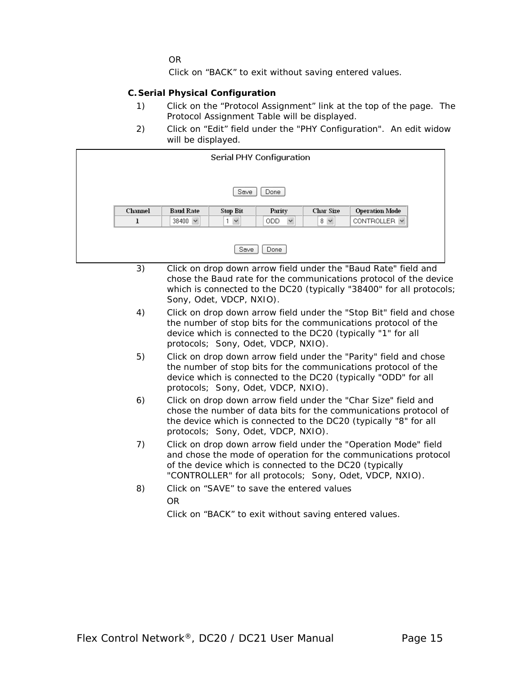OR

Click on "BACK" to exit without saving entered values.

#### **C.Serial Physical Configuration**

- 1) Click on the "Protocol Assignment" link at the top of the page. The Protocol Assignment Table will be displayed.
- 2) Click on "Edit" field under the "PHY Configuration". An edit widow will be displayed.

|              | Serial PHY Configuration |                   |                            |                  |                       |  |  |  |
|--------------|--------------------------|-------------------|----------------------------|------------------|-----------------------|--|--|--|
|              |                          |                   |                            |                  |                       |  |  |  |
|              | Save<br>Done             |                   |                            |                  |                       |  |  |  |
| Channel      | <b>Baud Rate</b>         | Stop Bit          | Parity                     | <b>Char Size</b> | <b>Operation Mode</b> |  |  |  |
| $\mathbf{r}$ | 38400 $\sim$             | $\checkmark$<br>1 | <b>ODD</b><br>$\checkmark$ | $8 - 8$          | CONTROLLER V          |  |  |  |

- 3) Click on drop down arrow field under the "Baud Rate" field and chose the Baud rate for the communications protocol of the device which is connected to the DC20 (typically "38400" for all protocols; Sony, Odet, VDCP, NXIO).
- 4) Click on drop down arrow field under the "Stop Bit" field and chose the number of stop bits for the communications protocol of the device which is connected to the DC20 (typically "1" for all protocols; Sony, Odet, VDCP, NXIO).
- 5) Click on drop down arrow field under the "Parity" field and chose the number of stop bits for the communications protocol of the device which is connected to the DC20 (typically "ODD" for all protocols; Sony, Odet, VDCP, NXIO).
- 6) Click on drop down arrow field under the "Char Size" field and chose the number of data bits for the communications protocol of the device which is connected to the DC20 (typically "8" for all protocols; Sony, Odet, VDCP, NXIO).
- 7) Click on drop down arrow field under the "Operation Mode" field and chose the mode of operation for the communications protocol of the device which is connected to the DC20 (typically "CONTROLLER" for all protocols; Sony, Odet, VDCP, NXIO).
- 8) Click on "SAVE" to save the entered values OR

Click on "BACK" to exit without saving entered values.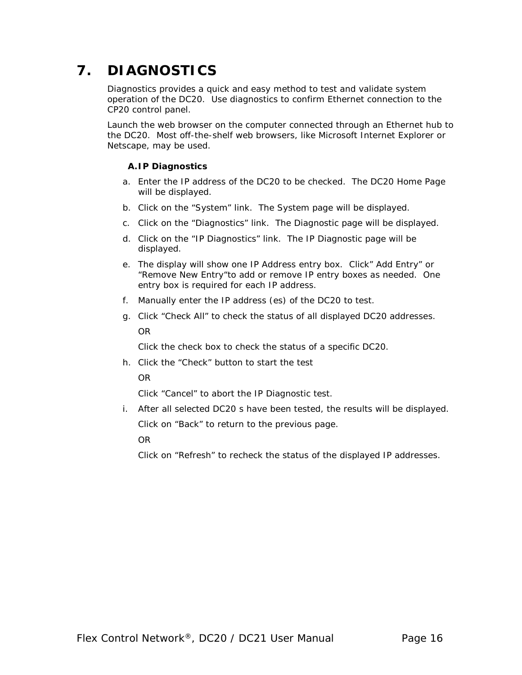### **7. DIAGNOSTICS**

Diagnostics provides a quick and easy method to test and validate system operation of the DC20. Use diagnostics to confirm Ethernet connection to the CP20 control panel.

Launch the web browser on the computer connected through an Ethernet hub to the DC20. Most off-the-shelf web browsers, like Microsoft Internet Explorer or Netscape, may be used.

### **A.IP Diagnostics**

- a. Enter the IP address of the DC20 to be checked. The DC20 Home Page will be displayed.
- b. Click on the "System" link. The System page will be displayed.
- c. Click on the "Diagnostics" link. The Diagnostic page will be displayed.
- d. Click on the "IP Diagnostics" link. The IP Diagnostic page will be displayed.
- e. The display will show one IP Address entry box. Click" Add Entry" or "Remove New Entry"to add or remove IP entry boxes as needed. One entry box is required for each IP address.
- f. Manually enter the IP address (es) of the DC20 to test.
- g. Click "Check All" to check the status of all displayed DC20 addresses. OR

Click the check box to check the status of a specific DC20.

h. Click the "Check" button to start the test

OR

Click "Cancel" to abort the IP Diagnostic test.

i. After all selected DC20 s have been tested, the results will be displayed.

Click on "Back" to return to the previous page.

OR

Click on "Refresh" to recheck the status of the displayed IP addresses.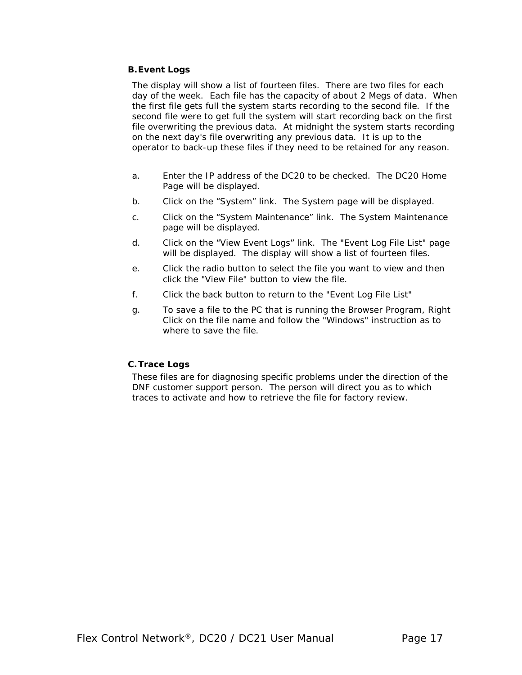### **B.Event Logs**

The display will show a list of fourteen files. There are two files for each day of the week. Each file has the capacity of about 2 Megs of data. When the first file gets full the system starts recording to the second file. If the second file were to get full the system will start recording back on the first file overwriting the previous data. At midnight the system starts recording on the next day's file overwriting any previous data. It is up to the operator to back-up these files if they need to be retained for any reason.

- a. Enter the IP address of the DC20 to be checked. The DC20 Home Page will be displayed.
- b. Click on the "System" link. The System page will be displayed.
- c. Click on the "System Maintenance" link. The System Maintenance page will be displayed.
- d. Click on the "View Event Logs" link. The "Event Log File List" page will be displayed. The display will show a list of fourteen files.
- e. Click the radio button to select the file you want to view and then click the "View File" button to view the file.
- f. Click the back button to return to the "Event Log File List"
- g. To save a file to the PC that is running the Browser Program, Right Click on the file name and follow the "Windows" instruction as to where to save the file.

### **C.Trace Logs**

These files are for diagnosing specific problems under the direction of the DNF customer support person. The person will direct you as to which traces to activate and how to retrieve the file for factory review.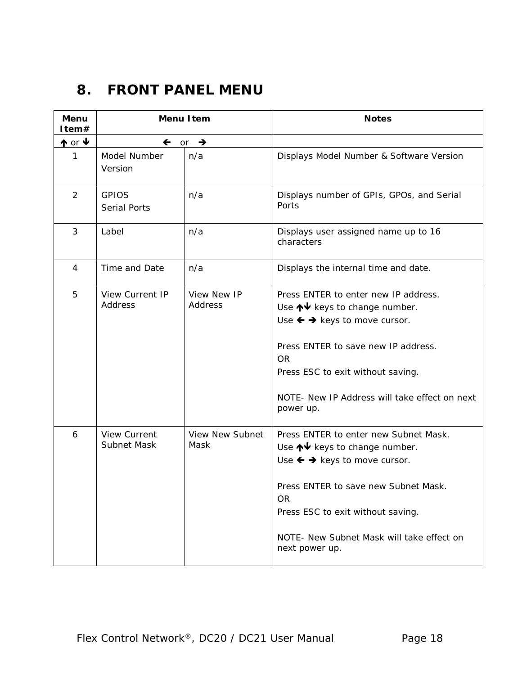### <span id="page-17-0"></span>**8. FRONT PANEL MENU**

| <b>Menu</b><br>Item#     |                                     | <b>Menu Item</b>               | <b>Notes</b>                                                                                                                                                                                                                                                                         |
|--------------------------|-------------------------------------|--------------------------------|--------------------------------------------------------------------------------------------------------------------------------------------------------------------------------------------------------------------------------------------------------------------------------------|
| $\uparrow$ or $\uparrow$ | $\leftarrow$ or                     | $\rightarrow$                  |                                                                                                                                                                                                                                                                                      |
| 1                        | Model Number<br>Version             | n/a                            | Displays Model Number & Software Version                                                                                                                                                                                                                                             |
| $\overline{2}$           | <b>GPIOS</b><br><b>Serial Ports</b> | n/a                            | Displays number of GPIs, GPOs, and Serial<br>Ports                                                                                                                                                                                                                                   |
| 3                        | Label                               | n/a                            | Displays user assigned name up to 16<br>characters                                                                                                                                                                                                                                   |
| 4                        | Time and Date                       | n/a                            | Displays the internal time and date.                                                                                                                                                                                                                                                 |
| 5                        | <b>View Current IP</b><br>Address   | View New IP<br>Address         | Press ENTER to enter new IP address.<br>Use ↑↓ keys to change number.<br>Use $\leftarrow \rightarrow$ keys to move cursor.<br>Press ENTER to save new IP address.<br><b>OR</b><br>Press ESC to exit without saving.<br>NOTE- New IP Address will take effect on next<br>power up.    |
| 6                        | <b>View Current</b><br>Subnet Mask  | <b>View New Subnet</b><br>Mask | Press ENTER to enter new Subnet Mask.<br>Use ↑↓ keys to change number.<br>Use $\leftarrow \rightarrow$ keys to move cursor.<br>Press ENTER to save new Subnet Mask.<br><b>OR</b><br>Press ESC to exit without saving.<br>NOTE- New Subnet Mask will take effect on<br>next power up. |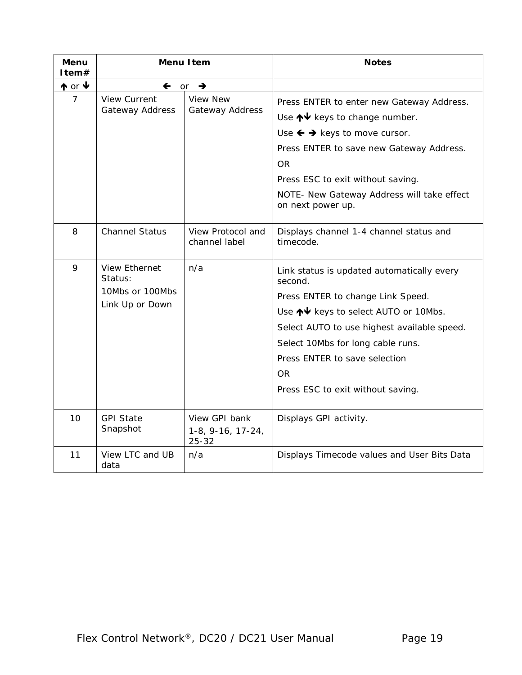| Menu<br>Item#   | <b>Menu Item</b>                                                      |                                                   | <b>Notes</b>                                                                                                                                                                                                                                                                                        |
|-----------------|-----------------------------------------------------------------------|---------------------------------------------------|-----------------------------------------------------------------------------------------------------------------------------------------------------------------------------------------------------------------------------------------------------------------------------------------------------|
| $\uparrow$ or ↓ |                                                                       | $\leftarrow$ or $\rightarrow$                     |                                                                                                                                                                                                                                                                                                     |
| 7               | <b>View Current</b><br>Gateway Address                                | <b>View New</b><br>Gateway Address                | Press ENTER to enter new Gateway Address.<br>Use $\bigwedge^{\mathbf{\downarrow}}$ keys to change number.<br>Use $\leftarrow \rightarrow$ keys to move cursor.<br>Press ENTER to save new Gateway Address.<br>0R                                                                                    |
|                 |                                                                       |                                                   | Press ESC to exit without saving.<br>NOTE- New Gateway Address will take effect<br>on next power up.                                                                                                                                                                                                |
| 8               | <b>Channel Status</b>                                                 | View Protocol and<br>channel label                | Displays channel 1-4 channel status and<br>timecode.                                                                                                                                                                                                                                                |
| 9               | <b>View Ethernet</b><br>Status:<br>10Mbs or 100Mbs<br>Link Up or Down | n/a                                               | Link status is updated automatically every<br>second.<br>Press ENTER to change Link Speed.<br>Use ↑↓ keys to select AUTO or 10Mbs.<br>Select AUTO to use highest available speed.<br>Select 10Mbs for long cable runs.<br>Press ENTER to save selection<br>OR.<br>Press ESC to exit without saving. |
| 10              | <b>GPI State</b><br>Snapshot                                          | View GPI bank<br>$1-8, 9-16, 17-24,$<br>$25 - 32$ | Displays GPI activity.                                                                                                                                                                                                                                                                              |
| 11              | View LTC and UB<br>data                                               | n/a                                               | Displays Timecode values and User Bits Data                                                                                                                                                                                                                                                         |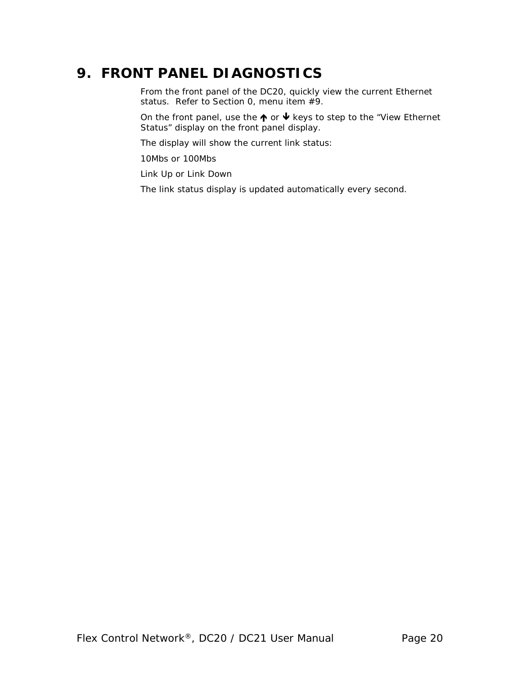### **9. FRONT PANEL DIAGNOSTICS**

From the front panel of the DC20, quickly view the current Ethernet status. Refer to Section [0,](#page-17-0) menu item #9.

On the front panel, use the  $\uparrow \bullet$  or  $\uparrow \bullet$  keys to step to the "View Ethernet Status" display on the front panel display.

The display will show the current link status:

10Mbs or 100Mbs

Link Up or Link Down

The link status display is updated automatically every second.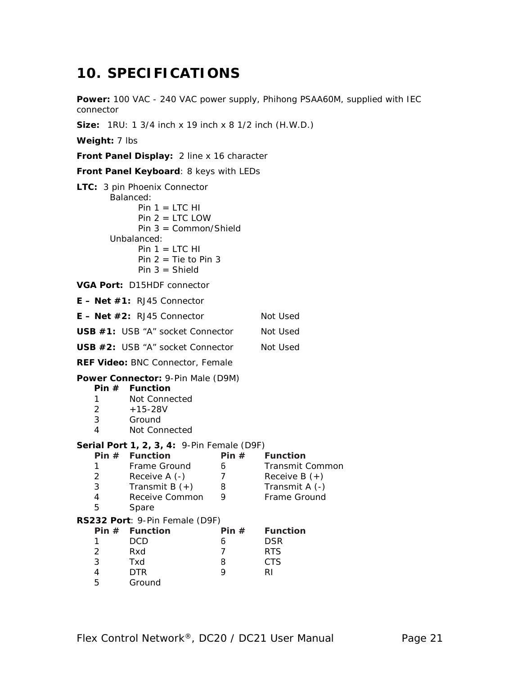### **10. SPECIFICATIONS**

Power: 100 VAC - 240 VAC power supply, Phihong PSAA60M, supplied with IEC connector

**Size:** 1RU: 1 3/4 inch x 19 inch x 8 1/2 inch (H.W.D.)

**Weight:** 7 lbs

**Front Panel Display:** 2 line x 16 character

**Front Panel Keyboard**: 8 keys with LEDs

|                                              | LTC: 3 pin Phoenix Connector<br>Balanced:        |                |                        |  |  |
|----------------------------------------------|--------------------------------------------------|----------------|------------------------|--|--|
|                                              | $Pin 1 = LTC HI$<br>Pin $2 =$ LTC LOW            |                |                        |  |  |
|                                              | Pin $3 = \text{Common/Shield}$                   |                |                        |  |  |
|                                              | Unbalanced:                                      |                |                        |  |  |
|                                              | $Pin 1 = LTC HI$                                 |                |                        |  |  |
|                                              | Pin $2 =$ Tie to Pin 3<br>$Pin 3 = Shield$       |                |                        |  |  |
|                                              | VGA Port: D15HDF connector                       |                |                        |  |  |
|                                              | $E - Net #1: RJ45$ Connector                     |                |                        |  |  |
| $E - Net #2$ : RJ45 Connector                |                                                  |                | Not Used               |  |  |
| USB #1: USB "A" socket Connector             |                                                  |                | Not Used               |  |  |
| USB #2: USB "A" socket Connector<br>Not Used |                                                  |                |                        |  |  |
|                                              | REF Video: BNC Connector, Female                 |                |                        |  |  |
|                                              | Power Connector: 9-Pin Male (D9M)                |                |                        |  |  |
|                                              | Pin $#$ Function                                 |                |                        |  |  |
| 1<br>$\overline{2}$                          | Not Connected<br>$+15-28V$                       |                |                        |  |  |
| 3                                            | Ground                                           |                |                        |  |  |
| 4                                            | Not Connected                                    |                |                        |  |  |
|                                              | Serial Port 1, 2, 3, 4: 9-Pin Female (D9F)       |                |                        |  |  |
|                                              | Pin $#$ Function                                 |                | Pin $#$ Function       |  |  |
| 1                                            | Frame Ground                                     | 6              | <b>Transmit Common</b> |  |  |
| $\overline{2}$                               | Receive A (-)                                    | $\overline{7}$ | Receive B $(+)$        |  |  |
| 3                                            | Transmit B $(+)$                                 | 8              | Transmit A (-)         |  |  |
| 4                                            | Receive Common                                   | 9              | Frame Ground           |  |  |
| 5                                            | Spare                                            |                |                        |  |  |
|                                              | RS232 Port: 9-Pin Female (D9F)<br>Pin # Function | Pin $#$        | <b>Function</b>        |  |  |
| 1                                            | <b>DCD</b>                                       |                | <b>DSR</b>             |  |  |
| 2                                            | Rxd                                              | 6<br>7         | <b>RTS</b>             |  |  |
| 3                                            | Txd                                              | 8              | <b>CTS</b>             |  |  |
| $\overline{\mathcal{A}}$                     | <b>DTR</b>                                       | 9              | RI                     |  |  |
| 5                                            | Ground                                           |                |                        |  |  |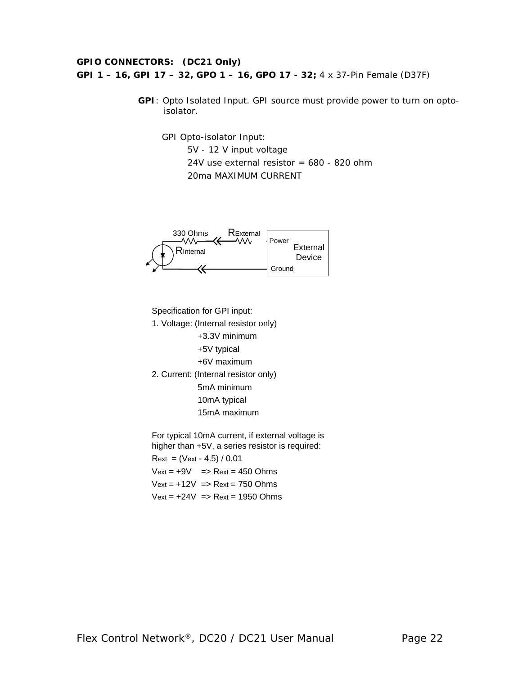### **GPIO CONNECTORS: (DC21 Only) GPI 1 – 16, GPI 17 – 32, GPO 1 – 16, GPO 17 - 32;** 4 x 37-Pin Female (D37F)

**GPI**: Opto Isolated Input. GPI source must provide power to turn on optoisolator.

GPI Opto-isolator Input: 5V - 12 V input voltage 24V use external resistor =  $680 - 820$  ohm 20ma MAXIMUM CURRENT



Specification for GPI input:

1. Voltage: (Internal resistor only)

+3.3V minimum

+5V typical

+6V maximum

2. Current: (Internal resistor only) 5mA minimum

10mA typical

15mA maximum

For typical 10mA current, if external voltage is higher than +5V, a series resistor is required:  $Rext = (Vext - 4.5) / 0.01$  $Vext = +9V$  =>  $Rext = 450$  Ohms  $Vext = +12V = Rext = 750$  Ohms  $Vext = +24V = Rext = 1950$  Ohms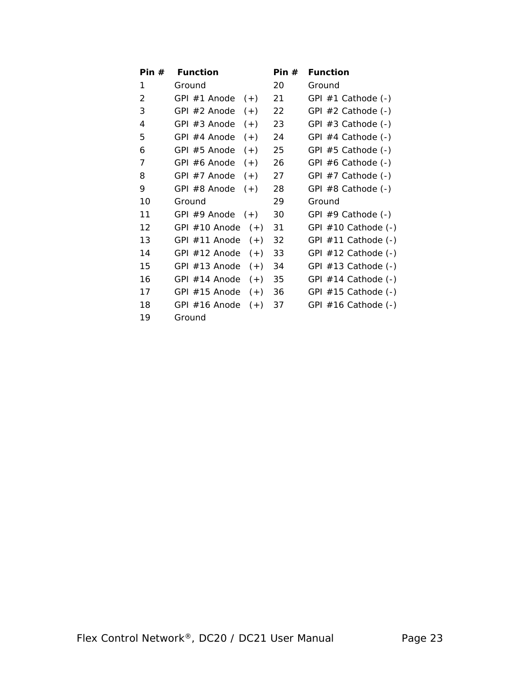| Pin $#$ | <b>Function</b>          | Pin $#$ | <b>Function</b>         |
|---------|--------------------------|---------|-------------------------|
| 1       | Ground                   | 20      | Ground                  |
| 2       | GPI #1 Anode<br>$(+)$    | 21      | GPI $#1$ Cathode $(-)$  |
| 3       | GPI #2 Anode<br>$(+)$    | 22      | GPI $#2$ Cathode $(-)$  |
| 4       | GPI $#3$ Anode<br>$(+)$  | 23      | GPI $#3$ Cathode $(-)$  |
| 5       | GPI #4 Anode<br>$(+)$    | 24      | GPI $#4$ Cathode $(-)$  |
| 6       | $(+)$<br>GPI #5 Anode    | 25      | GPI $#5$ Cathode $(-)$  |
| 7       | GPI #6 Anode<br>$(+)$    | 26      | GPI $#6$ Cathode $(-)$  |
| 8       | GPI $#7$ Anode<br>$(+)$  | 27      | GPI $#7$ Cathode $(-)$  |
| 9       | GPI #8 Anode<br>$(+)$    | 28      | GPI $#8$ Cathode $(-)$  |
| 10      | Ground                   | 29      | Ground                  |
| 11      | GPI #9 Anode<br>$(+)$    | 30      | GPI $#9$ Cathode $(-)$  |
| 12      | GPI #10 Anode<br>$(+)$   | 31      | GPI $#10$ Cathode $(-)$ |
| 13      | GPI #11 Anode<br>$(+)$   | 32      | GPI $#11$ Cathode $(-)$ |
| 14      | GPI $#12$ Anode<br>$(+)$ | 33      | GPI $#12$ Cathode $(-)$ |
| 15      | GPI #13 Anode<br>$(+)$   | 34      | GPI $#13$ Cathode $(-)$ |
| 16      | $(+)$<br>GPI $#14$ Anode | 35      | GPI $#14$ Cathode $(-)$ |
| 17      | $(+)$<br>GPI $#15$ Anode | 36      | GPI $#15$ Cathode $(-)$ |
| 18      | $(+)$<br>GPI $#16$ Anode | 37      | GPI $#16$ Cathode $(-)$ |
| 19      | Ground                   |         |                         |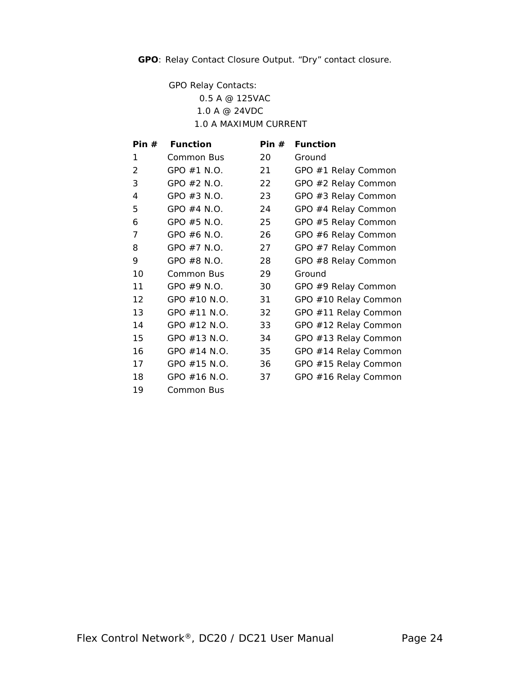**GPO**: Relay Contact Closure Output. "Dry" contact closure.

GPO Relay Contacts:

0.5 A @ 125VAC 1.0 A @ 24VDC 1.0 A MAXIMUM CURRENT

| Pin $#$ | <b>Function</b> | Pin $#$ | <b>Function</b>      |
|---------|-----------------|---------|----------------------|
| 1       | Common Bus      | 20      | Ground               |
| 2       | GPO $#1$ N.O.   | 21      | GPO #1 Relay Common  |
| 3       | GPO $#2$ N.O.   | 22      | GPO #2 Relay Common  |
| 4       | GPO $#3$ N.O.   | 23      | GPO #3 Relay Common  |
| 5       | GPO $#4$ N.O.   | 24      | GPO #4 Relay Common  |
| 6       | GPO $#5$ N.O.   | 25      | GPO #5 Relay Common  |
| 7       | GPO $#6$ N.O.   | 26      | GPO #6 Relay Common  |
| 8       | GPO $#7$ N.O.   | 27      | GPO #7 Relay Common  |
| 9       | GPO #8 N.O.     | 28      | GPO #8 Relay Common  |
| 10      | Common Bus      | 29      | Ground               |
| 11      | GPO $#9$ N.O.   | 30      | GPO #9 Relay Common  |
| 12      | GPO #10 N.O.    | 31      | GPO #10 Relay Common |
| 13      | GPO $#11$ N.O.  | 32      | GPO #11 Relay Common |
| 14      | GPO #12 N.O.    | 33      | GPO #12 Relay Common |
| 15      | GPO #13 N.O.    | 34      | GPO #13 Relay Common |
| 16      | GPO $#14$ N.O.  | 35      | GPO #14 Relay Common |
| 17      | GPO #15 N.O.    | 36      | GPO #15 Relay Common |
| 18      | GPO $#16$ N.O.  | 37      | GPO #16 Relay Common |
| 19      | Common Bus      |         |                      |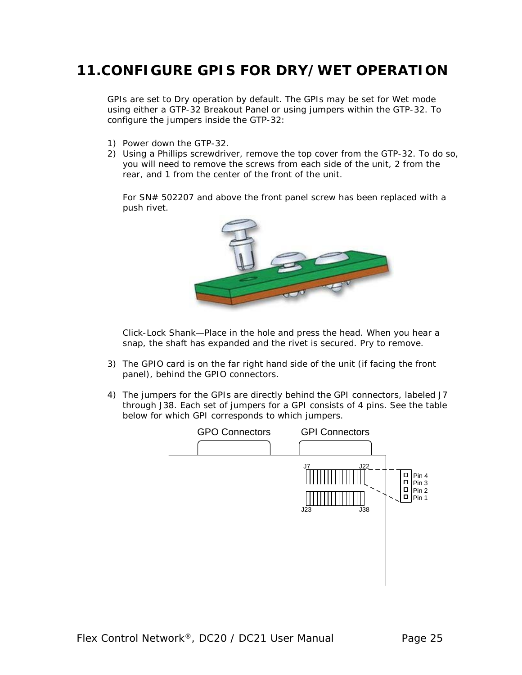### **11.CONFIGURE GPIS FOR DRY/WET OPERATION**

GPIs are set to Dry operation by default. The GPIs may be set for Wet mode using either a GTP-32 Breakout Panel or using jumpers within the GTP-32. To configure the jumpers inside the GTP-32:

- 1) Power down the GTP-32.
- 2) Using a Phillips screwdriver, remove the top cover from the GTP-32. To do so, you will need to remove the screws from each side of the unit, 2 from the rear, and 1 from the center of the front of the unit.

For SN# 502207 and above the front panel screw has been replaced with a push rivet.



Click-Lock Shank—Place in the hole and press the head. When you hear a snap, the shaft has expanded and the rivet is secured. Pry to remove.

- 3) The GPIO card is on the far right hand side of the unit (if facing the front panel), behind the GPIO connectors.
- 4) The jumpers for the GPIs are directly behind the GPI connectors, labeled J7 through J38. Each set of jumpers for a GPI consists of 4 pins. See the table below for which GPI corresponds to which jumpers.

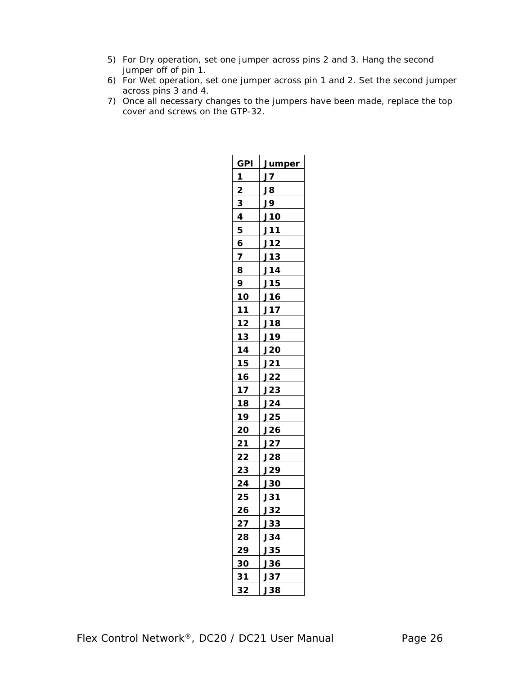- 5) For Dry operation, set one jumper across pins 2 and 3. Hang the second jumper off of pin 1.
- 6) For Wet operation, set one jumper across pin 1 and 2. Set the second jumper across pins 3 and 4.
- 7) Once all necessary changes to the jumpers have been made, replace the top cover and screws on the GTP-32.

| <b>GPI</b> | <u>Jumper</u> |
|------------|---------------|
| 1          | J7            |
| 2          | J8            |
| 3          | J9            |
| 4          | J10           |
| 5          | J11           |
| 6          | J12           |
| 7          | J13           |
| 8          | J14           |
| 9          | J15           |
| 10         | J16           |
| 11         | J17           |
| 12         | J18           |
| 13         | J19           |
| 14         | <u>J20</u>    |
| 15         | J21           |
| 16         | J22           |
| 17         | J23           |
| 18         | J24           |
| 19         | J25           |
| 20         | <b>J26</b>    |
| 21         | J27           |
| <u>22</u>  | <b>J28</b>    |
| 23         | J29           |
| 24         | <b>J30</b>    |
| 25         | <b>J31</b>    |
| 26         | J32           |
| 27         | <b>J33</b>    |
| 28         | J34           |
| 29         | <b>J35</b>    |
| 30         | J36           |
| 31         | <b>J37</b>    |
| 32         | J38           |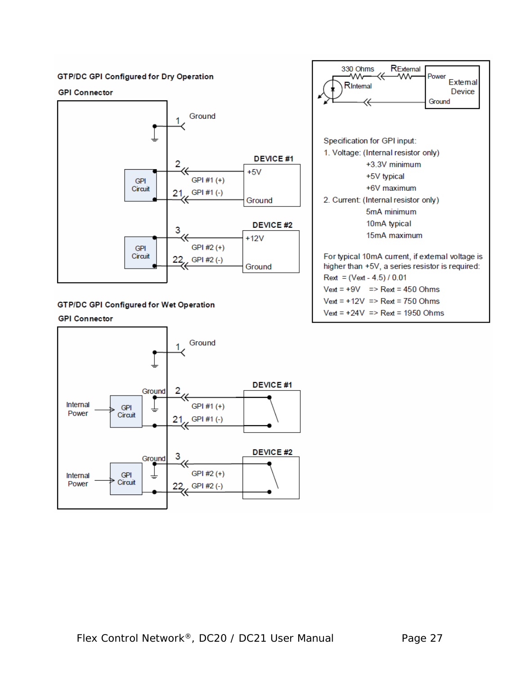#### **GTP/DC GPI Configured for Dry Operation**

#### **GPI Connector**



#### **GTP/DC GPI Configured for Wet Operation**

#### **GPI Connector**



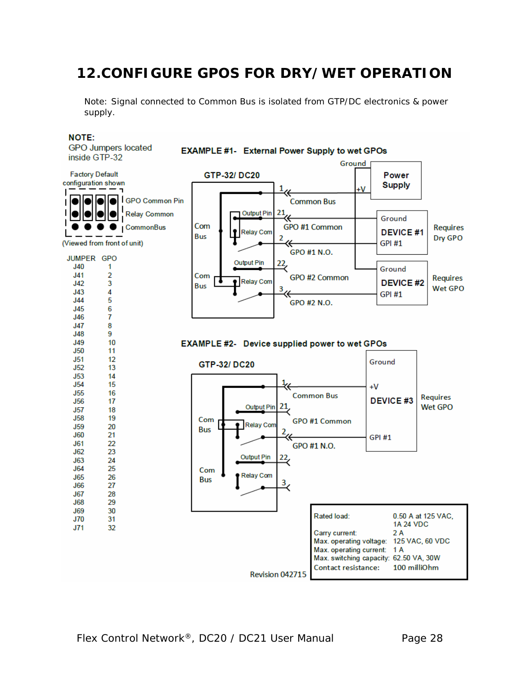### **12.CONFIGURE GPOS FOR DRY/WET OPERATION**

Note: Signal connected to Common Bus is isolated from GTP/DC electronics & power supply.

#### **NOTE:**

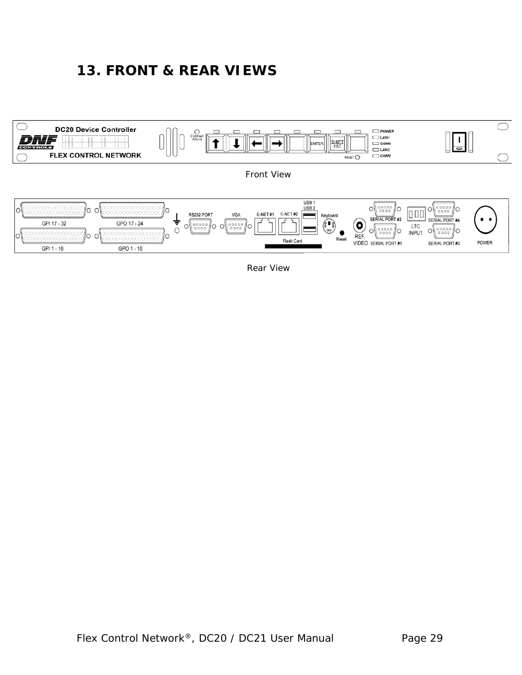### **13. FRONT & REAR VIEWS**



Rear View